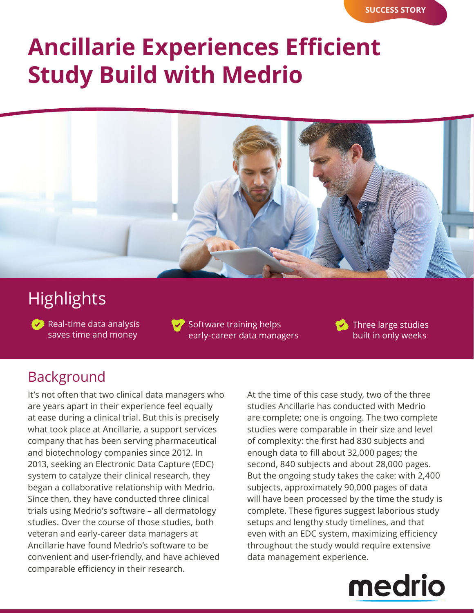# **Ancillarie Experiences Efficient Study Build with Medrio**



## **Highlights**

 $\bullet$  Real-time data analysis saves time and money

Software training helps early-career data managers Three large studies built in only weeks

### Background

It's not often that two clinical data managers who are years apart in their experience feel equally at ease during a clinical trial. But this is precisely what took place at Ancillarie, a support services company that has been serving pharmaceutical and biotechnology companies since 2012. In 2013, seeking an Electronic Data Capture (EDC) system to catalyze their clinical research, they began a collaborative relationship with Medrio. Since then, they have conducted three clinical trials using Medrio's software – all dermatology studies. Over the course of those studies, both veteran and early-career data managers at Ancillarie have found Medrio's software to be convenient and user-friendly, and have achieved comparable efficiency in their research.

At the time of this case study, two of the three studies Ancillarie has conducted with Medrio are complete; one is ongoing. The two complete studies were comparable in their size and level of complexity: the first had 830 subjects and enough data to fill about 32,000 pages; the second, 840 subjects and about 28,000 pages. But the ongoing study takes the cake: with 2,400 subjects, approximately 90,000 pages of data will have been processed by the time the study is complete. These figures suggest laborious study setups and lengthy study timelines, and that even with an EDC system, maximizing efficiency throughout the study would require extensive data management experience.

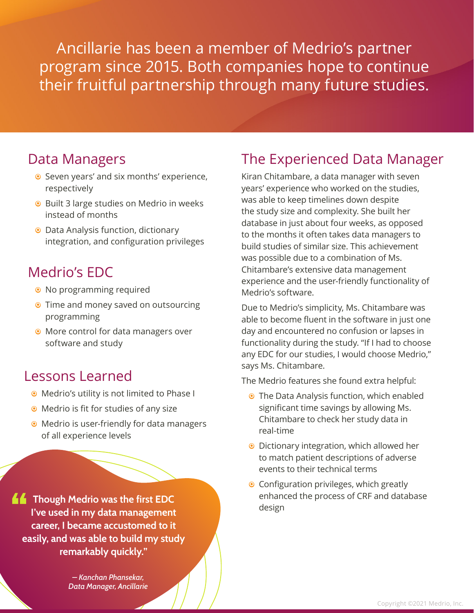Ancillarie has been a member of Medrio's partner program since 2015. Both companies hope to continue their fruitful partnership through many future studies.

#### Data Managers

- Seven years' and six months' experience, respectively
- <sup>O</sup> Built 3 large studies on Medrio in weeks instead of months
- <sup>O</sup> Data Analysis function, dictionary integration, and configuration privileges

### Medrio's EDC

- <sup>o</sup> No programming required
- **•** Time and money saved on outsourcing programming
- **•** More control for data managers over software and study

### Lessons Learned

- **•** Medrio's utility is not limited to Phase I
- $\odot$  Medrio is fit for studies of any size
- Medrio is user-friendly for data managers of all experience levels

**Though Medrio was the first EDC I've used in my data management career, I became accustomed to it easily, and was able to build my study remarkably quickly."**

> *– Kanchan Phansekar, Data Manager, Ancillarie*

### The Experienced Data Manager

Kiran Chitambare, a data manager with seven years' experience who worked on the studies, was able to keep timelines down despite the study size and complexity. She built her database in just about four weeks, as opposed to the months it often takes data managers to build studies of similar size. This achievement was possible due to a combination of Ms. Chitambare's extensive data management experience and the user-friendly functionality of Medrio's software.

Due to Medrio's simplicity, Ms. Chitambare was able to become fluent in the software in just one day and encountered no confusion or lapses in functionality during the study. "If I had to choose any EDC for our studies, I would choose Medrio," says Ms. Chitambare.

The Medrio features she found extra helpful:

- **•** The Data Analysis function, which enabled significant time savings by allowing Ms. Chitambare to check her study data in real-time
- Dictionary integration, which allowed her to match patient descriptions of adverse events to their technical terms
- Configuration privileges, which greatly enhanced the process of CRF and database design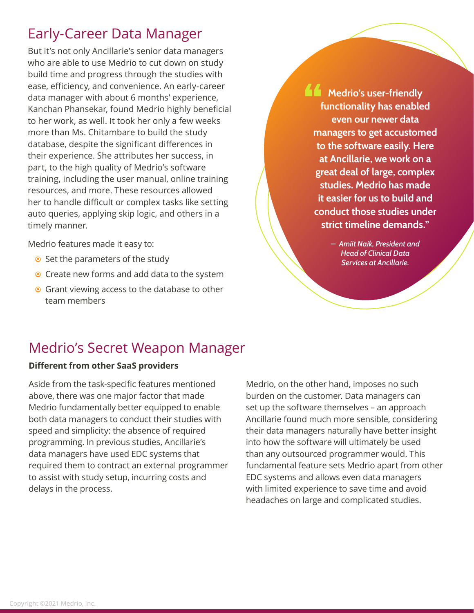### Early-Career Data Manager

But it's not only Ancillarie's senior data managers who are able to use Medrio to cut down on study build time and progress through the studies with ease, efficiency, and convenience. An early-career data manager with about 6 months' experience, Kanchan Phansekar, found Medrio highly beneficial to her work, as well. It took her only a few weeks more than Ms. Chitambare to build the study database, despite the significant differences in their experience. She attributes her success, in part, to the high quality of Medrio's software training, including the user manual, online training resources, and more. These resources allowed her to handle difficult or complex tasks like setting auto queries, applying skip logic, and others in a timely manner.

Medrio features made it easy to:

- $\bullet$  Set the parameters of the study
- Create new forms and add data to the system
- Grant viewing access to the database to other team members

**Medrio's user-friendly functionality has enabled even our newer data managers to get accustomed to the software easily. Here at Ancillarie, we work on a great deal of large, complex studies. Medrio has made it easier for us to build and conduct those studies under strict timeline demands."**

> *– Amiit Naik, President and Head of Clinical Data Services at Ancillarie.*

### Medrio's Secret Weapon Manager

#### **Different from other SaaS providers**

Aside from the task-specific features mentioned above, there was one major factor that made Medrio fundamentally better equipped to enable both data managers to conduct their studies with speed and simplicity: the absence of required programming. In previous studies, Ancillarie's data managers have used EDC systems that required them to contract an external programmer to assist with study setup, incurring costs and delays in the process.

Medrio, on the other hand, imposes no such burden on the customer. Data managers can set up the software themselves – an approach Ancillarie found much more sensible, considering their data managers naturally have better insight into how the software will ultimately be used than any outsourced programmer would. This fundamental feature sets Medrio apart from other EDC systems and allows even data managers with limited experience to save time and avoid headaches on large and complicated studies.